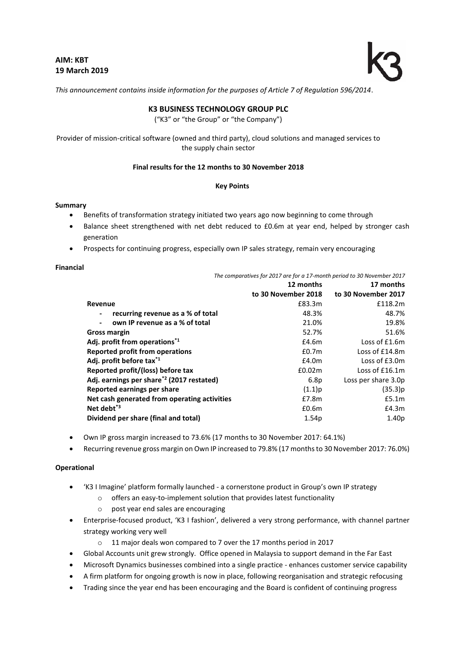

*This announcement contains inside information for the purposes of Article 7 of Regulation 596/2014*.

# **K3 BUSINESS TECHNOLOGY GROUP PLC**

("K3" or "the Group" or "the Company")

Provider of mission-critical software (owned and third party), cloud solutions and managed services to the supply chain sector

# **Final results for the 12 months to 30 November 2018**

#### **Key Points**

#### **Summary**

- Benefits of transformation strategy initiated two years ago now beginning to come through
- Balance sheet strengthened with net debt reduced to £0.6m at year end, helped by stronger cash generation
- Prospects for continuing progress, especially own IP sales strategy, remain very encouraging

#### **Financial**

*The comparatives for 2017 are for a 17-month period to 30 November 2017*

|                                                       | 12 months           | 17 months           |
|-------------------------------------------------------|---------------------|---------------------|
|                                                       | to 30 November 2018 | to 30 November 2017 |
| Revenue                                               | £83.3m              | £118.2m             |
| recurring revenue as a % of total                     | 48.3%               | 48.7%               |
| own IP revenue as a % of total                        | 21.0%               | 19.8%               |
| Gross margin                                          | 52.7%               | 51.6%               |
| Adj. profit from operations <sup>*1</sup>             | £4.6m               | Loss of £1.6m       |
| Reported profit from operations                       | £0.7 <sub>m</sub>   | Loss of £14.8m      |
| Adj. profit before tax <sup>*1</sup>                  | £4.0m               | Loss of £3.0m       |
| Reported profit/(loss) before tax                     | £0.02m              | Loss of $£16.1m$    |
| Adj. earnings per share <sup>*2</sup> (2017 restated) | 6.8 <sub>p</sub>    | Loss per share 3.0p |
| Reported earnings per share                           | $(1.1)$ p           | (35.3)p             |
| Net cash generated from operating activities          | E7.8m               | £5.1m               |
| Net debt <sup>*3</sup>                                | £0.6m               | £4.3m               |
| Dividend per share (final and total)                  | 1.54 <sub>p</sub>   | 1.40 <sub>p</sub>   |

- Own IP gross margin increased to 73.6% (17 months to 30 November 2017: 64.1%)
- Recurring revenue gross margin on Own IP increased to 79.8% (17 months to 30 November 2017: 76.0%)

#### **Operational**

- 'K3 I Imagine' platform formally launched a cornerstone product in Group's own IP strategy
	- o offers an easy-to-implement solution that provides latest functionality
	- o post year end sales are encouraging
- Enterprise-focused product, 'K3 I fashion', delivered a very strong performance, with channel partner strategy working very well
	- o 11 major deals won compared to 7 over the 17 months period in 2017
- Global Accounts unit grew strongly. Office opened in Malaysia to support demand in the Far East
- Microsoft Dynamics businesses combined into a single practice enhances customer service capability
- A firm platform for ongoing growth is now in place, following reorganisation and strategic refocusing
- Trading since the year end has been encouraging and the Board is confident of continuing progress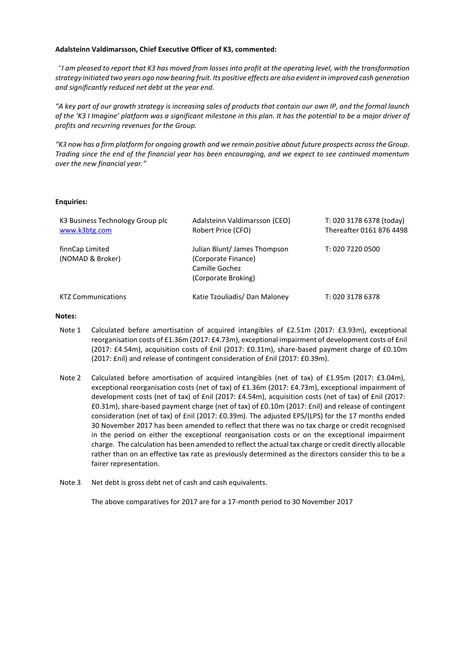# **Adalsteinn Valdimarsson, Chief Executive Officer of K3, commented:**

*"I am pleased to report that K3 has moved from losses into profit at the operating level, with the transformation strategy initiated two years ago now bearing fruit. Its positive effects are also evident in improved cash generation and significantly reduced net debt at the year end.* 

*"A key part of our growth strategy is increasing sales of products that contain our own IP, and the formal launch of the 'K3 I Imagine' platform was a significant milestone in this plan. It has the potential to be a major driver of profits and recurring revenues for the Group.* 

*"K3 now has a firm platform for ongoing growth and we remain positive about future prospects across the Group. Trading since the end of the financial year has been encouraging, and we expect to see continued momentum over the new financial year."*

# **Enquiries:**

| K3 Business Technology Group plc<br>www.k3btg.com | Adalsteinn Valdimarsson (CEO)<br>Robert Price (CFO)                                         | T: 020 3178 6378 (today)<br>Thereafter 0161 876 4498 |
|---------------------------------------------------|---------------------------------------------------------------------------------------------|------------------------------------------------------|
| finnCap Limited<br>(NOMAD & Broker)               | Julian Blunt/James Thompson<br>(Corporate Finance)<br>Camille Gochez<br>(Corporate Broking) | T: 020 7220 0500                                     |
| <b>KTZ Communications</b>                         | Katie Tzouliadis/ Dan Maloney                                                               | T: 020 3178 6378                                     |

#### **Notes:**

- Note 1 Calculated before amortisation of acquired intangibles of £2.51m (2017: £3.93m), exceptional reorganisation costs of £1.36m (2017: £4.73m), exceptional impairment of development costs of £nil (2017: £4.54m), acquisition costs of £nil (2017: £0.31m), share-based payment charge of £0.10m (2017: £nil) and release of contingent consideration of £nil (2017: £0.39m).
- Note 2 Calculated before amortisation of acquired intangibles (net of tax) of £1.95m (2017: £3.04m), exceptional reorganisation costs (net of tax) of £1.36m (2017: £4.73m), exceptional impairment of development costs (net of tax) of £nil (2017: £4.54m), acquisition costs (net of tax) of £nil (2017: £0.31m), share-based payment charge (net of tax) of £0.10m (2017: £nil) and release of contingent consideration (net of tax) of £nil (2017: £0.39m). The adjusted EPS/(LPS) for the 17 months ended 30 November 2017 has been amended to reflect that there was no tax charge or credit recognised in the period on either the exceptional reorganisation costs or on the exceptional impairment charge. The calculation has been amended to reflect the actual tax charge or credit directly allocable rather than on an effective tax rate as previously determined as the directors consider this to be a fairer representation.
- Note 3 Net debt is gross debt net of cash and cash equivalents.

The above comparatives for 2017 are for a 17-month period to 30 November 2017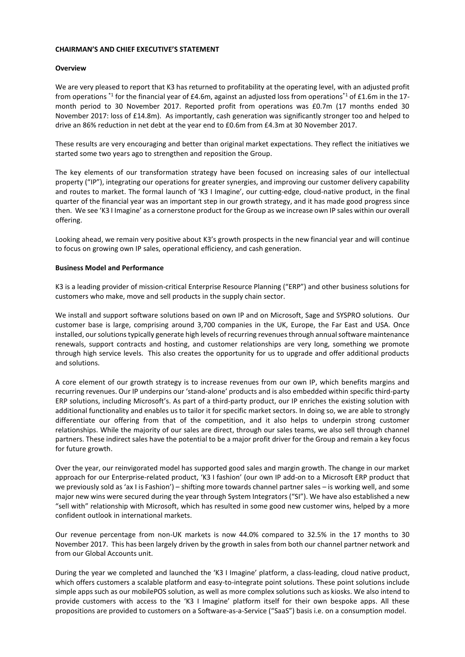#### **CHAIRMAN'S AND CHIEF EXECUTIVE'S STATEMENT**

# **Overview**

We are very pleased to report that K3 has returned to profitability at the operating level, with an adjusted profit from operations \*1 for the financial year of £4.6m, against an adjusted loss from operations<sup>\*1</sup> of £1.6m in the 17month period to 30 November 2017. Reported profit from operations was £0.7m (17 months ended 30 November 2017: loss of £14.8m). As importantly, cash generation was significantly stronger too and helped to drive an 86% reduction in net debt at the year end to £0.6m from £4.3m at 30 November 2017.

These results are very encouraging and better than original market expectations. They reflect the initiatives we started some two years ago to strengthen and reposition the Group.

The key elements of our transformation strategy have been focused on increasing sales of our intellectual property ("IP"), integrating our operations for greater synergies, and improving our customer delivery capability and routes to market. The formal launch of 'K3 I Imagine', our cutting-edge, cloud-native product, in the final quarter of the financial year was an important step in our growth strategy, and it has made good progress since then. We see 'K3 I Imagine' as a cornerstone product for the Group as we increase own IP sales within our overall offering.

Looking ahead, we remain very positive about K3's growth prospects in the new financial year and will continue to focus on growing own IP sales, operational efficiency, and cash generation.

# **Business Model and Performance**

K3 is a leading provider of mission-critical Enterprise Resource Planning ("ERP") and other business solutions for customers who make, move and sell products in the supply chain sector.

We install and support software solutions based on own IP and on Microsoft, Sage and SYSPRO solutions. Our customer base is large, comprising around 3,700 companies in the UK, Europe, the Far East and USA. Once installed, our solutions typically generate high levels of recurring revenues through annual software maintenance renewals, support contracts and hosting, and customer relationships are very long, something we promote through high service levels. This also creates the opportunity for us to upgrade and offer additional products and solutions.

A core element of our growth strategy is to increase revenues from our own IP, which benefits margins and recurring revenues. Our IP underpins our 'stand-alone' products and is also embedded within specific third-party ERP solutions, including Microsoft's. As part of a third-party product, our IP enriches the existing solution with additional functionality and enables us to tailor it for specific market sectors. In doing so, we are able to strongly differentiate our offering from that of the competition, and it also helps to underpin strong customer relationships. While the majority of our sales are direct, through our sales teams, we also sell through channel partners. These indirect sales have the potential to be a major profit driver for the Group and remain a key focus for future growth.

Over the year, our reinvigorated model has supported good sales and margin growth. The change in our market approach for our Enterprise-related product, 'K3 I fashion' (our own IP add-on to a Microsoft ERP product that we previously sold as 'ax I is Fashion') – shifting more towards channel partner sales – is working well, and some major new wins were secured during the year through System Integrators ("SI"). We have also established a new "sell with" relationship with Microsoft, which has resulted in some good new customer wins, helped by a more confident outlook in international markets.

Our revenue percentage from non-UK markets is now 44.0% compared to 32.5% in the 17 months to 30 November 2017. This has been largely driven by the growth in sales from both our channel partner network and from our Global Accounts unit.

During the year we completed and launched the 'K3 I Imagine' platform, a class-leading, cloud native product, which offers customers a scalable platform and easy-to-integrate point solutions. These point solutions include simple apps such as our mobilePOS solution, as well as more complex solutions such as kiosks. We also intend to provide customers with access to the 'K3 I Imagine' platform itself for their own bespoke apps. All these propositions are provided to customers on a Software-as-a-Service ("SaaS") basis i.e. on a consumption model.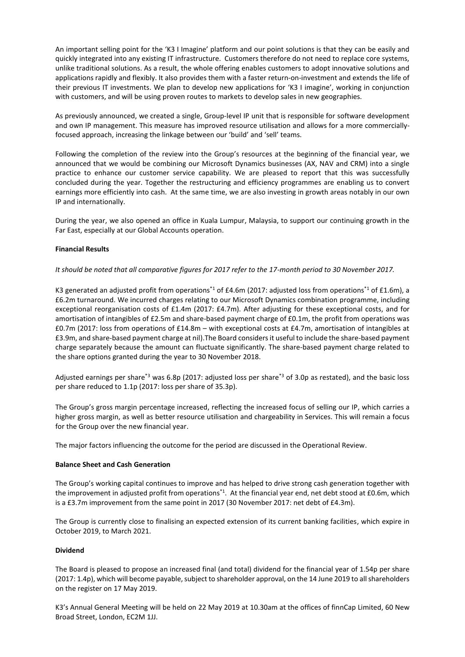An important selling point for the 'K3 I Imagine' platform and our point solutions is that they can be easily and quickly integrated into any existing IT infrastructure. Customers therefore do not need to replace core systems, unlike traditional solutions. As a result, the whole offering enables customers to adopt innovative solutions and applications rapidly and flexibly. It also provides them with a faster return-on-investment and extends the life of their previous IT investments. We plan to develop new applications for 'K3 I imagine', working in conjunction with customers, and will be using proven routes to markets to develop sales in new geographies.

As previously announced, we created a single, Group-level IP unit that is responsible for software development and own IP management. This measure has improved resource utilisation and allows for a more commerciallyfocused approach, increasing the linkage between our 'build' and 'sell' teams.

Following the completion of the review into the Group's resources at the beginning of the financial year, we announced that we would be combining our Microsoft Dynamics businesses (AX, NAV and CRM) into a single practice to enhance our customer service capability. We are pleased to report that this was successfully concluded during the year. Together the restructuring and efficiency programmes are enabling us to convert earnings more efficiently into cash. At the same time, we are also investing in growth areas notably in our own IP and internationally.

During the year, we also opened an office in Kuala Lumpur, Malaysia, to support our continuing growth in the Far East, especially at our Global Accounts operation.

# **Financial Results**

# *It should be noted that all comparative figures for 2017 refer to the 17-month period to 30 November 2017.*

K3 generated an adjusted profit from operations<sup>\*1</sup> of £4.6m (2017: adjusted loss from operations<sup>\*1</sup> of £1.6m), a £6.2m turnaround. We incurred charges relating to our Microsoft Dynamics combination programme, including exceptional reorganisation costs of £1.4m (2017: £4.7m). After adjusting for these exceptional costs, and for amortisation of intangibles of £2.5m and share-based payment charge of £0.1m, the profit from operations was £0.7m (2017: loss from operations of £14.8m – with exceptional costs at £4.7m, amortisation of intangibles at £3.9m, and share-based payment charge at nil).The Board considers it useful to include the share-based payment charge separately because the amount can fluctuate significantly. The share-based payment charge related to the share options granted during the year to 30 November 2018.

Adjusted earnings per share<sup>\*3</sup> was 6.8p (2017: adjusted loss per share<sup>\*3</sup> of 3.0p as restated), and the basic loss per share reduced to 1.1p (2017: loss per share of 35.3p).

The Group's gross margin percentage increased, reflecting the increased focus of selling our IP, which carries a higher gross margin, as well as better resource utilisation and chargeability in Services. This will remain a focus for the Group over the new financial year.

The major factors influencing the outcome for the period are discussed in the Operational Review.

## **Balance Sheet and Cash Generation**

The Group's working capital continues to improve and has helped to drive strong cash generation together with the improvement in adjusted profit from operations<sup>\*1</sup>. At the financial year end, net debt stood at £0.6m, which is a £3.7m improvement from the same point in 2017 (30 November 2017: net debt of £4.3m).

The Group is currently close to finalising an expected extension of its current banking facilities, which expire in October 2019, to March 2021.

# **Dividend**

The Board is pleased to propose an increased final (and total) dividend for the financial year of 1.54p per share (2017: 1.4p), which will become payable, subject to shareholder approval, on the 14 June 2019 to all shareholders on the register on 17 May 2019.

K3's Annual General Meeting will be held on 22 May 2019 at 10.30am at the offices of finnCap Limited, 60 New Broad Street, London, EC2M 1JJ.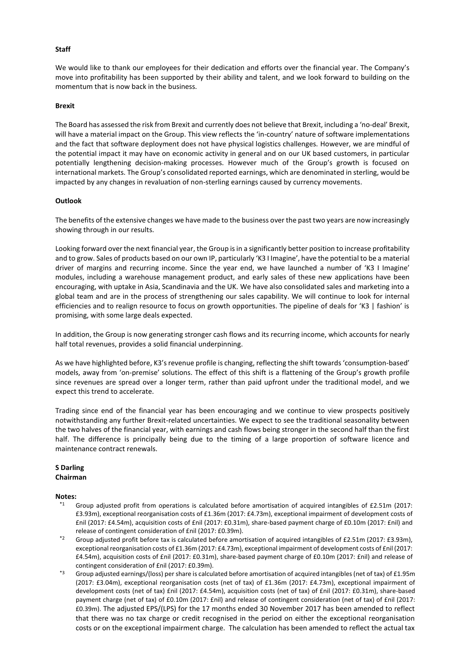# **Staff**

We would like to thank our employees for their dedication and efforts over the financial year. The Company's move into profitability has been supported by their ability and talent, and we look forward to building on the momentum that is now back in the business.

#### **Brexit**

The Board has assessed the risk from Brexit and currently does not believe that Brexit, including a 'no-deal' Brexit, will have a material impact on the Group. This view reflects the 'in-country' nature of software implementations and the fact that software deployment does not have physical logistics challenges. However, we are mindful of the potential impact it may have on economic activity in general and on our UK based customers, in particular potentially lengthening decision-making processes. However much of the Group's growth is focused on international markets. The Group's consolidated reported earnings, which are denominated in sterling, would be impacted by any changes in revaluation of non-sterling earnings caused by currency movements.

#### **Outlook**

The benefits of the extensive changes we have made to the business over the past two years are now increasingly showing through in our results.

Looking forward over the next financial year, the Group is in a significantly better position to increase profitability and to grow. Sales of products based on our own IP, particularly 'K3 I Imagine', have the potential to be a material driver of margins and recurring income. Since the year end, we have launched a number of 'K3 I Imagine' modules, including a warehouse management product, and early sales of these new applications have been encouraging, with uptake in Asia, Scandinavia and the UK. We have also consolidated sales and marketing into a global team and are in the process of strengthening our sales capability. We will continue to look for internal efficiencies and to realign resource to focus on growth opportunities. The pipeline of deals for 'K3 | fashion' is promising, with some large deals expected.

In addition, the Group is now generating stronger cash flows and its recurring income, which accounts for nearly half total revenues, provides a solid financial underpinning.

As we have highlighted before, K3's revenue profile is changing, reflecting the shift towards 'consumption-based' models, away from 'on-premise' solutions. The effect of this shift is a flattening of the Group's growth profile since revenues are spread over a longer term, rather than paid upfront under the traditional model, and we expect this trend to accelerate.

Trading since end of the financial year has been encouraging and we continue to view prospects positively notwithstanding any further Brexit-related uncertainties. We expect to see the traditional seasonality between the two halves of the financial year, with earnings and cash flows being stronger in the second half than the first half. The difference is principally being due to the timing of a large proportion of software licence and maintenance contract renewals.

#### **S Darling Chairman**

#### **Notes:**

- Group adjusted profit from operations is calculated before amortisation of acquired intangibles of £2.51m (2017: £3.93m), exceptional reorganisation costs of £1.36m (2017: £4.73m), exceptional impairment of development costs of £nil (2017: £4.54m), acquisition costs of £nil (2017: £0.31m), share-based payment charge of £0.10m (2017: £nil) and release of contingent consideration of £nil (2017: £0.39m).
- \*2 Group adjusted profit before tax is calculated before amortisation of acquired intangibles of £2.51m (2017: £3.93m), exceptional reorganisation costs of £1.36m (2017: £4.73m), exceptional impairment of development costs of £nil (2017: £4.54m), acquisition costs of £nil (2017: £0.31m), share-based payment charge of £0.10m (2017: £nil) and release of contingent consideration of £nil (2017: £0.39m).
- \*3 Group adjusted earnings/(loss) per share is calculated before amortisation of acquired intangibles (net of tax) of £1.95m (2017: £3.04m), exceptional reorganisation costs (net of tax) of £1.36m (2017: £4.73m), exceptional impairment of development costs (net of tax) £nil (2017: £4.54m), acquisition costs (net of tax) of £nil (2017: £0.31m), share-based payment charge (net of tax) of £0.10m (2017: £nil) and release of contingent consideration (net of tax) of £nil (2017: £0.39m). The adjusted EPS/(LPS) for the 17 months ended 30 November 2017 has been amended to reflect that there was no tax charge or credit recognised in the period on either the exceptional reorganisation costs or on the exceptional impairment charge. The calculation has been amended to reflect the actual tax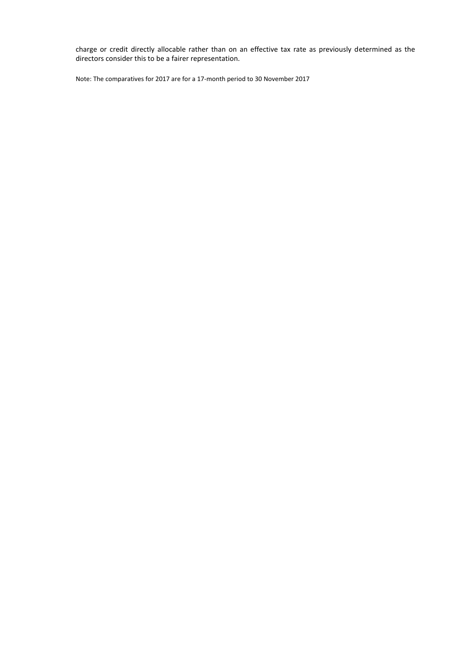charge or credit directly allocable rather than on an effective tax rate as previously determined as the directors consider this to be a fairer representation.

Note: The comparatives for 2017 are for a 17-month period to 30 November 2017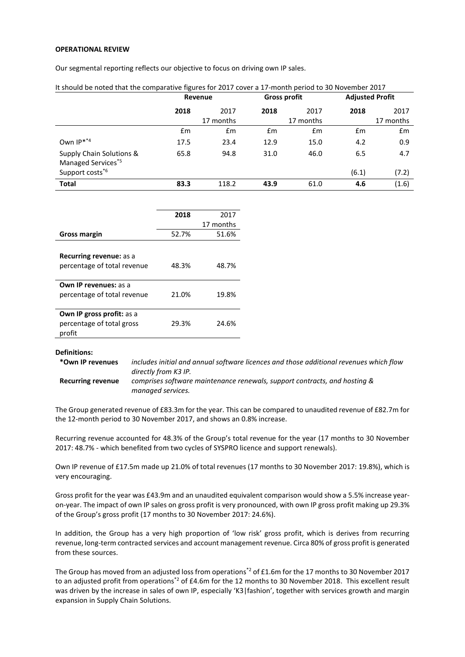### **OPERATIONAL REVIEW**

Our segmental reporting reflects our objective to focus on driving own IP sales.

| It should be noted that the comparative figures for 2017 cover a 17-month period to 30 November 2017 |         |           |                     |               |                        |           |
|------------------------------------------------------------------------------------------------------|---------|-----------|---------------------|---------------|------------------------|-----------|
|                                                                                                      | Revenue |           | <b>Gross profit</b> |               | <b>Adjusted Profit</b> |           |
|                                                                                                      | 2018    | 2017      | 2018                | 2017          | 2018                   | 2017      |
|                                                                                                      |         | 17 months |                     | 17 months     |                        | 17 months |
|                                                                                                      | £m      | £m        | £m                  | $\mathsf{fm}$ | £m                     | £m        |
| Own IP**4                                                                                            | 17.5    | 23.4      | 12.9                | 15.0          | 4.2                    | 0.9       |
| Supply Chain Solutions &<br>Managed Services <sup>*5</sup>                                           | 65.8    | 94.8      | 31.0                | 46.0          | 6.5                    | 4.7       |
| Support costs <sup>*6</sup>                                                                          |         |           |                     |               | (6.1)                  | (7.2)     |
| <b>Total</b>                                                                                         | 83.3    | 118.2     | 43.9                | 61.0          | 4.6                    | (1.6)     |

|                                  | 2018  | 2017      |
|----------------------------------|-------|-----------|
|                                  |       | 17 months |
| Gross margin                     | 52.7% | 51.6%     |
|                                  |       |           |
| <b>Recurring revenue: as a</b>   |       |           |
| percentage of total revenue      | 48.3% | 48.7%     |
|                                  |       |           |
| <b>Own IP revenues: as a</b>     |       |           |
| percentage of total revenue      | 21.0% | 19.8%     |
|                                  |       |           |
| <b>Own IP gross profit: as a</b> |       |           |
| percentage of total gross        | 29.3% | 24.6%     |
| profit                           |       |           |

#### **Definitions:**

| *Own IP revenues  | includes initial and annual software licences and those additional revenues which flow |
|-------------------|----------------------------------------------------------------------------------------|
|                   | directly from K3 IP.                                                                   |
| Recurring revenue | comprises software maintenance renewals, support contracts, and hosting &              |
|                   | managed services.                                                                      |

The Group generated revenue of £83.3m for the year. This can be compared to unaudited revenue of £82.7m for the 12-month period to 30 November 2017, and shows an 0.8% increase.

Recurring revenue accounted for 48.3% of the Group's total revenue for the year (17 months to 30 November 2017: 48.7% - which benefited from two cycles of SYSPRO licence and support renewals).

Own IP revenue of £17.5m made up 21.0% of total revenues (17 months to 30 November 2017: 19.8%), which is very encouraging.

Gross profit for the year was £43.9m and an unaudited equivalent comparison would show a 5.5% increase yearon-year. The impact of own IP sales on gross profit is very pronounced, with own IP gross profit making up 29.3% of the Group's gross profit (17 months to 30 November 2017: 24.6%).

In addition, the Group has a very high proportion of 'low risk' gross profit, which is derives from recurring revenue, long-term contracted services and account management revenue. Circa 80% of gross profit is generated from these sources.

The Group has moved from an adjusted loss from operations<sup>\*2</sup> of £1.6m for the 17 months to 30 November 2017 to an adjusted profit from operations<sup>\*2</sup> of £4.6m for the 12 months to 30 November 2018. This excellent result was driven by the increase in sales of own IP, especially 'K3|fashion', together with services growth and margin expansion in Supply Chain Solutions.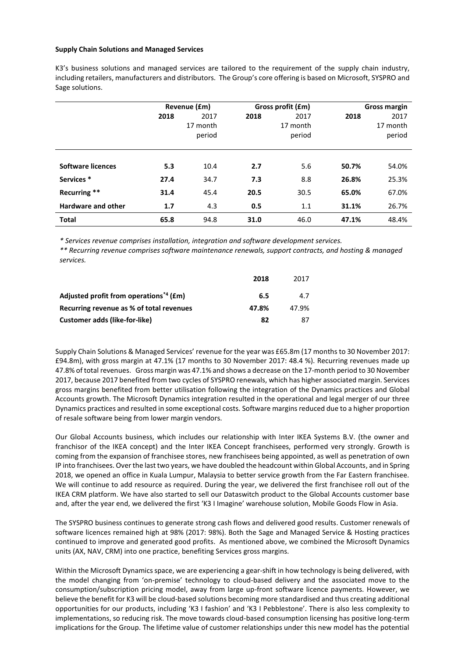#### **Supply Chain Solutions and Managed Services**

K3's business solutions and managed services are tailored to the requirement of the supply chain industry, including retailers, manufacturers and distributors. The Group's core offering is based on Microsoft, SYSPRO and Sage solutions.

|                           |      | Revenue (£m) |      | Gross profit (£m) |       | <b>Gross margin</b> |  |
|---------------------------|------|--------------|------|-------------------|-------|---------------------|--|
|                           | 2018 | 2017         | 2018 | 2017              | 2018  | 2017                |  |
|                           |      | 17 month     |      | 17 month          |       | 17 month            |  |
|                           |      | period       |      | period            |       | period              |  |
|                           |      |              |      |                   |       |                     |  |
| <b>Software licences</b>  | 5.3  | 10.4         | 2.7  | 5.6               | 50.7% | 54.0%               |  |
| Services <sup>*</sup>     | 27.4 | 34.7         | 7.3  | 8.8               | 26.8% | 25.3%               |  |
| Recurring **              | 31.4 | 45.4         | 20.5 | 30.5              | 65.0% | 67.0%               |  |
| <b>Hardware and other</b> | 1.7  | 4.3          | 0.5  | 1.1               | 31.1% | 26.7%               |  |
| <b>Total</b>              | 65.8 | 94.8         | 31.0 | 46.0              | 47.1% | 48.4%               |  |

*\* Services revenue comprises installation, integration and software development services.*

*\*\* Recurring revenue comprises software maintenance renewals, support contracts, and hosting & managed services.*

|                                                    | 2018  | 2017  |
|----------------------------------------------------|-------|-------|
| Adjusted profit from operations <sup>*4</sup> (£m) | 6.5   | 4.7   |
| Recurring revenue as % of total revenues           | 47.8% | 47.9% |
| <b>Customer adds (like-for-like)</b>               | 82    | 87    |

Supply Chain Solutions & Managed Services' revenue for the year was £65.8m (17 months to 30 November 2017: £94.8m), with gross margin at 47.1% (17 months to 30 November 2017: 48.4 %). Recurring revenues made up 47.8% of total revenues. Gross margin was 47.1% and shows a decrease on the 17-month period to 30 November 2017, because 2017 benefited from two cycles of SYSPRO renewals, which has higher associated margin. Services gross margins benefited from better utilisation following the integration of the Dynamics practices and Global Accounts growth. The Microsoft Dynamics integration resulted in the operational and legal merger of our three Dynamics practices and resulted in some exceptional costs. Software margins reduced due to a higher proportion of resale software being from lower margin vendors.

Our Global Accounts business, which includes our relationship with Inter IKEA Systems B.V. (the owner and franchisor of the IKEA concept) and the Inter IKEA Concept franchisees, performed very strongly. Growth is coming from the expansion of franchisee stores, new franchisees being appointed, as well as penetration of own IP into franchisees. Over the last two years, we have doubled the headcount within Global Accounts, and in Spring 2018, we opened an office in Kuala Lumpur, Malaysia to better service growth from the Far Eastern franchisee. We will continue to add resource as required. During the year, we delivered the first franchisee roll out of the IKEA CRM platform. We have also started to sell our Dataswitch product to the Global Accounts customer base and, after the year end, we delivered the first 'K3 I Imagine' warehouse solution, Mobile Goods Flow in Asia.

The SYSPRO business continues to generate strong cash flows and delivered good results. Customer renewals of software licences remained high at 98% (2017: 98%). Both the Sage and Managed Service & Hosting practices continued to improve and generated good profits. As mentioned above, we combined the Microsoft Dynamics units (AX, NAV, CRM) into one practice, benefiting Services gross margins.

Within the Microsoft Dynamics space, we are experiencing a gear-shift in how technology is being delivered, with the model changing from 'on-premise' technology to cloud-based delivery and the associated move to the consumption/subscription pricing model, away from large up-front software licence payments. However, we believe the benefit for K3 will be cloud-based solutions becoming more standardised and thus creating additional opportunities for our products, including 'K3 I fashion' and 'K3 I Pebblestone'. There is also less complexity to implementations, so reducing risk. The move towards cloud-based consumption licensing has positive long-term implications for the Group. The lifetime value of customer relationships under this new model has the potential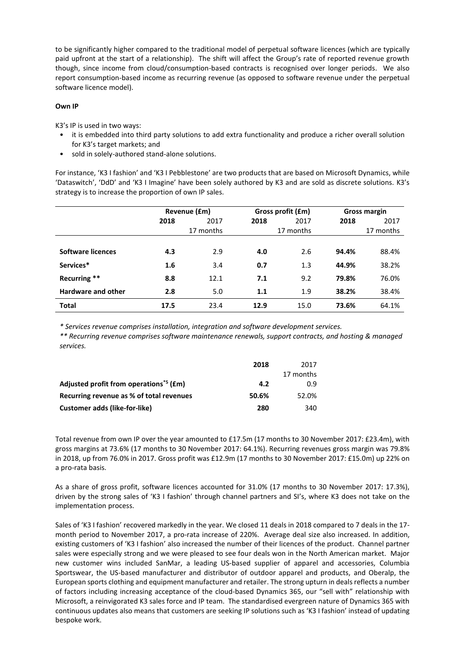to be significantly higher compared to the traditional model of perpetual software licences (which are typically paid upfront at the start of a relationship). The shift will affect the Group's rate of reported revenue growth though, since income from cloud/consumption-based contracts is recognised over longer periods. We also report consumption-based income as recurring revenue (as opposed to software revenue under the perpetual software licence model).

# **Own IP**

K3's IP is used in two ways:

- it is embedded into third party solutions to add extra functionality and produce a richer overall solution for K3's target markets; and
- sold in solely-authored stand-alone solutions.

For instance, 'K3 I fashion' and 'K3 I Pebblestone' are two products that are based on Microsoft Dynamics, while 'Dataswitch', 'DdD' and 'K3 I Imagine' have been solely authored by K3 and are sold as discrete solutions. K3's strategy is to increase the proportion of own IP sales.

|                           | Revenue (£m) |           |      | Gross profit (£m) |       | Gross margin |  |
|---------------------------|--------------|-----------|------|-------------------|-------|--------------|--|
|                           | 2018         | 2017      | 2018 | 2017              | 2018  | 2017         |  |
|                           |              | 17 months |      | 17 months         |       | 17 months    |  |
|                           |              |           |      |                   |       |              |  |
| <b>Software licences</b>  | 4.3          | 2.9       | 4.0  | 2.6               | 94.4% | 88.4%        |  |
| Services*                 | 1.6          | 3.4       | 0.7  | 1.3               | 44.9% | 38.2%        |  |
| Recurring **              | 8.8          | 12.1      | 7.1  | 9.2               | 79.8% | 76.0%        |  |
| <b>Hardware and other</b> | 2.8          | 5.0       | 1.1  | 1.9               | 38.2% | 38.4%        |  |
| <b>Total</b>              | 17.5         | 23.4      | 12.9 | 15.0              | 73.6% | 64.1%        |  |

*\* Services revenue comprises installation, integration and software development services.*

*\*\* Recurring revenue comprises software maintenance renewals, support contracts, and hosting & managed services.*

|                                                        | 2018  | 2017      |
|--------------------------------------------------------|-------|-----------|
|                                                        |       | 17 months |
| Adjusted profit from operations <sup>*5</sup> ( $Em$ ) | 4.2   | 0.9       |
| Recurring revenue as % of total revenues               | 50.6% | 52.0%     |
| <b>Customer adds (like-for-like)</b>                   | 280   | 340       |

Total revenue from own IP over the year amounted to £17.5m (17 months to 30 November 2017: £23.4m), with gross margins at 73.6% (17 months to 30 November 2017: 64.1%). Recurring revenues gross margin was 79.8% in 2018, up from 76.0% in 2017. Gross profit was £12.9m (17 months to 30 November 2017: £15.0m) up 22% on a pro-rata basis.

As a share of gross profit, software licences accounted for 31.0% (17 months to 30 November 2017: 17.3%), driven by the strong sales of 'K3 I fashion' through channel partners and SI's, where K3 does not take on the implementation process.

Sales of 'K3 I fashion' recovered markedly in the year. We closed 11 deals in 2018 compared to 7 deals in the 17 month period to November 2017, a pro-rata increase of 220%. Average deal size also increased. In addition, existing customers of 'K3 I fashion' also increased the number of their licences of the product. Channel partner sales were especially strong and we were pleased to see four deals won in the North American market. Major new customer wins included SanMar, a leading US-based supplier of apparel and accessories, Columbia Sportswear, the US-based manufacturer and distributor of outdoor apparel and products, and Oberalp, the European sports clothing and equipment manufacturer and retailer. The strong upturn in deals reflects a number of factors including increasing acceptance of the cloud-based Dynamics 365, our "sell with" relationship with Microsoft, a reinvigorated K3 sales force and IP team. The standardised evergreen nature of Dynamics 365 with continuous updates also means that customers are seeking IP solutions such as 'K3 I fashion' instead of updating bespoke work.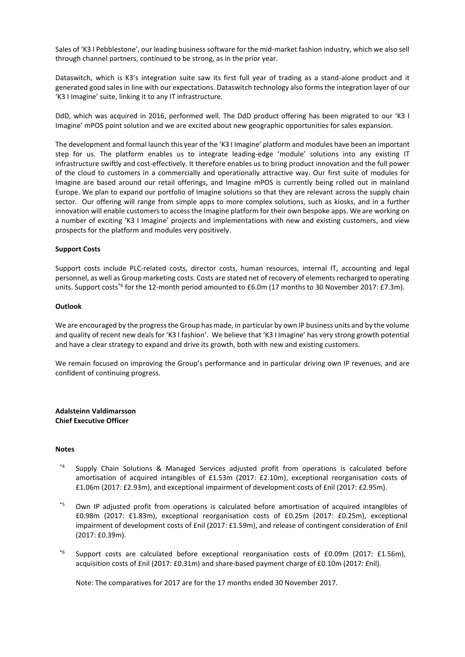Sales of 'K3 I Pebblestone', our leading business software for the mid-market fashion industry, which we also sell through channel partners, continued to be strong, as in the prior year.

Dataswitch, which is K3's integration suite saw its first full year of trading as a stand-alone product and it generated good sales in line with our expectations. Dataswitch technology also forms the integration layer of our 'K3 I Imagine' suite, linking it to any IT infrastructure.

DdD, which was acquired in 2016, performed well. The DdD product offering has been migrated to our 'K3 I Imagine' mPOS point solution and we are excited about new geographic opportunities for sales expansion.

The development and formal launch this year of the 'K3 I Imagine' platform and modules have been an important step for us. The platform enables us to integrate leading-edge 'module' solutions into any existing IT infrastructure swiftly and cost-effectively. It therefore enables us to bring product innovation and the full power of the cloud to customers in a commercially and operationally attractive way. Our first suite of modules for Imagine are based around our retail offerings, and Imagine mPOS is currently being rolled out in mainland Europe. We plan to expand our portfolio of Imagine solutions so that they are relevant across the supply chain sector. Our offering will range from simple apps to more complex solutions, such as kiosks, and in a further innovation will enable customers to access the Imagine platform for their own bespoke apps. We are working on a number of exciting 'K3 I Imagine' projects and implementations with new and existing customers, and view prospects for the platform and modules very positively.

# **Support Costs**

Support costs include PLC-related costs, director costs, human resources, internal IT, accounting and legal personnel, as well as Group marketing costs. Costs are stated net of recovery of elements recharged to operating units. Support costs<sup>\*6</sup> for the 12-month period amounted to £6.0m (17 months to 30 November 2017: £7.3m).

# **Outlook**

We are encouraged by the progress the Group has made, in particular by own IP business units and by the volume and quality of recent new deals for 'K3 I fashion'. We believe that 'K3 I Imagine' has very strong growth potential and have a clear strategy to expand and drive its growth, both with new and existing customers.

We remain focused on improving the Group's performance and in particular driving own IP revenues, and are confident of continuing progress.

**Adalsteinn Valdimarsson Chief Executive Officer**

# **Notes**

- \*4 Supply Chain Solutions & Managed Services adjusted profit from operations is calculated before amortisation of acquired intangibles of £1.53m (2017: £2.10m), exceptional reorganisation costs of £1.06m (2017: £2.93m), and exceptional impairment of development costs of £nil (2017: £2.95m).
- \*5 Own IP adjusted profit from operations is calculated before amortisation of acquired intangibles of £0.98m (2017: £1.83m), exceptional reorganisation costs of £0.25m (2017: £0.25m), exceptional impairment of development costs of £nil (2017: £1.59m), and release of contingent consideration of £nil (2017: £0.39m).
- \*6 Support costs are calculated before exceptional reorganisation costs of £0.09m (2017: £1.56m), acquisition costs of £nil (2017: £0.31m) and share-based payment charge of £0.10m (2017: £nil).

Note: The comparatives for 2017 are for the 17 months ended 30 November 2017.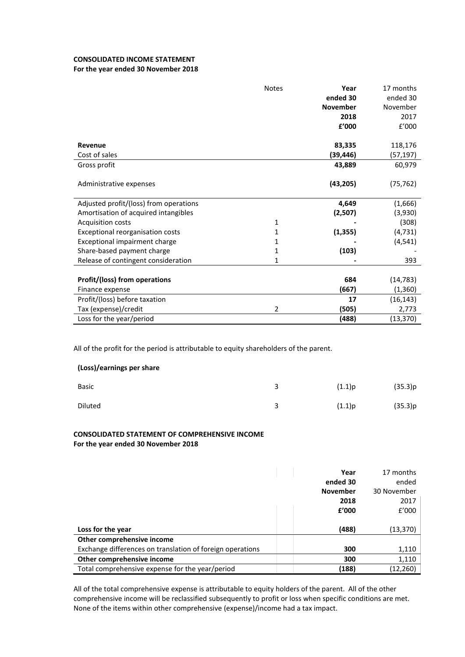# **CONSOLIDATED INCOME STATEMENT**

# **For the year ended 30 November 2018**

|                                        | <b>Notes</b>   | Year<br>ended 30<br><b>November</b><br>2018<br>£'000 | 17 months<br>ended 30<br>November<br>2017<br>f'000 |
|----------------------------------------|----------------|------------------------------------------------------|----------------------------------------------------|
| Revenue                                |                | 83,335                                               | 118,176                                            |
| Cost of sales                          |                | (39,446)                                             | (57,197)                                           |
| Gross profit                           |                | 43,889                                               | 60,979                                             |
| Administrative expenses                |                | (43, 205)                                            | (75, 762)                                          |
| Adjusted profit/(loss) from operations |                | 4,649                                                | (1,666)                                            |
| Amortisation of acquired intangibles   |                | (2,507)                                              | (3,930)                                            |
| <b>Acquisition costs</b>               | 1              |                                                      | (308)                                              |
| Exceptional reorganisation costs       | 1              | (1, 355)                                             | (4, 731)                                           |
| Exceptional impairment charge          | 1              |                                                      | (4, 541)                                           |
| Share-based payment charge             | 1              | (103)                                                |                                                    |
| Release of contingent consideration    | 1              |                                                      | 393                                                |
|                                        |                |                                                      |                                                    |
| Profit/(loss) from operations          |                | 684                                                  | (14, 783)                                          |
| Finance expense                        |                | (667)                                                | (1, 360)                                           |
| Profit/(loss) before taxation          |                | 17                                                   | (16, 143)                                          |
| Tax (expense)/credit                   | $\overline{2}$ | (505)                                                | 2,773                                              |
| Loss for the year/period               |                | (488)                                                | (13, 370)                                          |

All of the profit for the period is attributable to equity shareholders of the parent.

# **(Loss)/earnings per share**

| <b>Basic</b> | (1.1)p | (35.3)p |
|--------------|--------|---------|
| Diluted      | (1.1)p | (35.3)p |

# **CONSOLIDATED STATEMENT OF COMPREHENSIVE INCOME For the year ended 30 November 2018**

|                                                           | Year            | 17 months   |
|-----------------------------------------------------------|-----------------|-------------|
|                                                           | ended 30        | ended       |
|                                                           | <b>November</b> | 30 November |
|                                                           | 2018            | 2017        |
|                                                           | f'000           | f'000       |
|                                                           |                 |             |
| Loss for the year                                         | (488)           | (13, 370)   |
| Other comprehensive income                                |                 |             |
| Exchange differences on translation of foreign operations | 300             | 1,110       |
| Other comprehensive income                                | 300             | 1,110       |
| Total comprehensive expense for the year/period           | (188)           | (12,260)    |

All of the total comprehensive expense is attributable to equity holders of the parent. All of the other comprehensive income will be reclassified subsequently to profit or loss when specific conditions are met. None of the items within other comprehensive (expense)/income had a tax impact.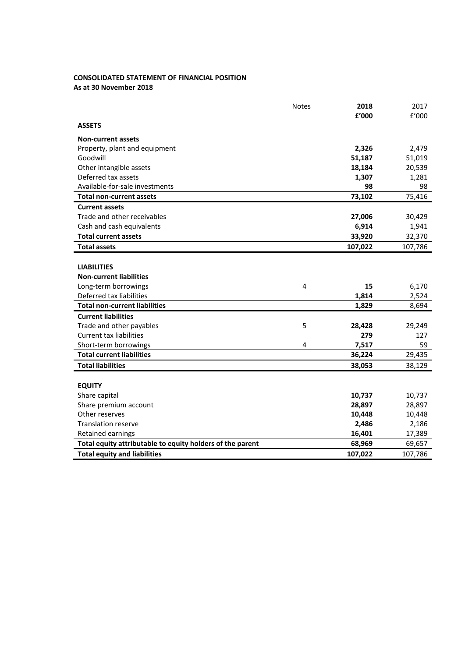# **CONSOLIDATED STATEMENT OF FINANCIAL POSITION**

**As at 30 November 2018**

|                                                           | <b>Notes</b> | 2018    | 2017    |
|-----------------------------------------------------------|--------------|---------|---------|
|                                                           |              | £'000   | f'000   |
| <b>ASSETS</b>                                             |              |         |         |
| <b>Non-current assets</b>                                 |              |         |         |
| Property, plant and equipment                             |              | 2,326   | 2,479   |
| Goodwill                                                  |              | 51,187  | 51,019  |
| Other intangible assets                                   |              | 18,184  | 20,539  |
| Deferred tax assets                                       |              | 1,307   | 1,281   |
| Available-for-sale investments                            |              | 98      | 98      |
| <b>Total non-current assets</b>                           |              | 73,102  | 75,416  |
| <b>Current assets</b>                                     |              |         |         |
| Trade and other receivables                               |              | 27,006  | 30,429  |
| Cash and cash equivalents                                 |              | 6,914   | 1,941   |
| <b>Total current assets</b>                               |              | 33,920  | 32,370  |
| <b>Total assets</b>                                       |              | 107,022 | 107,786 |
|                                                           |              |         |         |
| <b>LIABILITIES</b>                                        |              |         |         |
| <b>Non-current liabilities</b>                            |              |         |         |
| Long-term borrowings                                      | 4            | 15      | 6,170   |
| Deferred tax liabilities                                  |              | 1,814   | 2,524   |
| <b>Total non-current liabilities</b>                      |              | 1,829   | 8,694   |
| <b>Current liabilities</b>                                |              |         |         |
| Trade and other payables                                  | 5            | 28,428  | 29,249  |
| <b>Current tax liabilities</b>                            |              | 279     | 127     |
| Short-term borrowings                                     | 4            | 7,517   | 59      |
| <b>Total current liabilities</b>                          |              | 36,224  | 29,435  |
| <b>Total liabilities</b>                                  |              | 38,053  | 38,129  |
|                                                           |              |         |         |
| <b>EQUITY</b>                                             |              |         |         |
| Share capital                                             |              | 10,737  | 10,737  |
| Share premium account                                     |              | 28,897  | 28,897  |
| Other reserves                                            |              | 10,448  | 10,448  |
| <b>Translation reserve</b>                                |              | 2,486   | 2,186   |
| Retained earnings                                         |              | 16,401  | 17,389  |
| Total equity attributable to equity holders of the parent |              | 68,969  | 69,657  |
| <b>Total equity and liabilities</b>                       |              | 107,022 | 107,786 |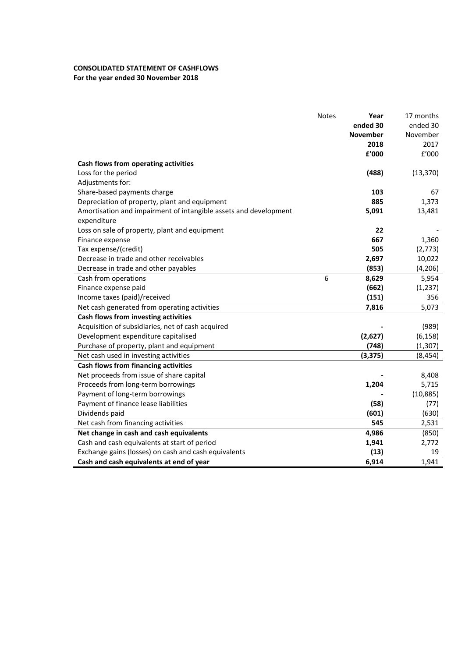# **CONSOLIDATED STATEMENT OF CASHFLOWS For the year ended 30 November 2018**

|                                                                  | <b>Notes</b> | Year     | 17 months |
|------------------------------------------------------------------|--------------|----------|-----------|
|                                                                  |              | ended 30 | ended 30  |
|                                                                  |              | November | November  |
|                                                                  |              | 2018     | 2017      |
|                                                                  |              | f'000    | f'000     |
| Cash flows from operating activities                             |              |          |           |
| Loss for the period                                              |              | (488)    | (13, 370) |
| Adjustments for:                                                 |              |          |           |
| Share-based payments charge                                      |              | 103      | 67        |
| Depreciation of property, plant and equipment                    |              | 885      | 1,373     |
| Amortisation and impairment of intangible assets and development |              | 5,091    | 13,481    |
| expenditure                                                      |              |          |           |
| Loss on sale of property, plant and equipment                    |              | 22       |           |
| Finance expense                                                  |              | 667      | 1,360     |
| Tax expense/(credit)                                             |              | 505      | (2,773)   |
| Decrease in trade and other receivables                          |              | 2,697    | 10,022    |
| Decrease in trade and other payables                             |              | (853)    | (4, 206)  |
| Cash from operations                                             | 6            | 8,629    | 5,954     |
| Finance expense paid                                             |              | (662)    | (1, 237)  |
| Income taxes (paid)/received                                     |              | (151)    | 356       |
| Net cash generated from operating activities                     |              | 7,816    | 5,073     |
| Cash flows from investing activities                             |              |          |           |
| Acquisition of subsidiaries, net of cash acquired                |              |          | (989)     |
| Development expenditure capitalised                              |              | (2,627)  | (6, 158)  |
| Purchase of property, plant and equipment                        |              | (748)    | (1, 307)  |
| Net cash used in investing activities                            |              | (3, 375) | (8, 454)  |
| Cash flows from financing activities                             |              |          |           |
| Net proceeds from issue of share capital                         |              |          | 8,408     |
| Proceeds from long-term borrowings                               |              | 1,204    | 5,715     |
| Payment of long-term borrowings                                  |              |          | (10, 885) |
| Payment of finance lease liabilities                             |              | (58)     | (77)      |
| Dividends paid                                                   |              | (601)    | (630)     |
| Net cash from financing activities                               |              | 545      | 2,531     |
| Net change in cash and cash equivalents                          |              | 4,986    | (850)     |
| Cash and cash equivalents at start of period                     |              | 1,941    | 2,772     |
| Exchange gains (losses) on cash and cash equivalents             |              | (13)     | 19        |
| Cash and cash equivalents at end of year                         |              | 6,914    | 1,941     |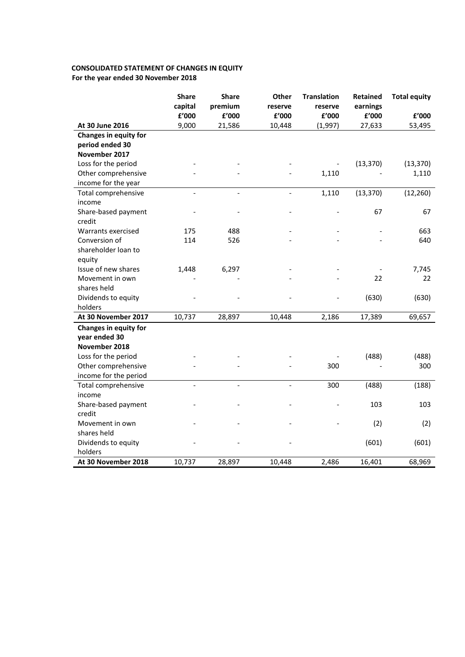# **CONSOLIDATED STATEMENT OF CHANGES IN EQUITY For the year ended 30 November 2018**

|                              | <b>Share</b><br>capital  | <b>Share</b><br>premium | Other<br>reserve         | <b>Translation</b><br>reserve | <b>Retained</b><br>earnings | <b>Total equity</b> |
|------------------------------|--------------------------|-------------------------|--------------------------|-------------------------------|-----------------------------|---------------------|
|                              | £'000                    | £'000                   | £'000                    | £'000                         | ${\bf f}^{\prime}$ 000      | £'000               |
| At 30 June 2016              | 9,000                    | 21,586                  | 10,448                   | (1,997)                       | 27,633                      | 53,495              |
| <b>Changes in equity for</b> |                          |                         |                          |                               |                             |                     |
| period ended 30              |                          |                         |                          |                               |                             |                     |
| November 2017                |                          |                         |                          |                               |                             |                     |
| Loss for the period          |                          |                         |                          |                               | (13, 370)                   | (13, 370)           |
| Other comprehensive          |                          |                         |                          | 1,110                         |                             | 1,110               |
| income for the year          |                          |                         |                          |                               |                             |                     |
| Total comprehensive          | $\overline{\phantom{a}}$ | $\blacksquare$          | $\overline{a}$           | 1,110                         | (13, 370)                   | (12, 260)           |
| income                       |                          |                         |                          |                               |                             |                     |
| Share-based payment          |                          |                         |                          |                               | 67                          | 67                  |
| credit                       |                          |                         |                          |                               |                             |                     |
| Warrants exercised           | 175                      | 488                     |                          |                               |                             | 663                 |
| Conversion of                | 114                      | 526                     |                          |                               |                             | 640                 |
| shareholder loan to          |                          |                         |                          |                               |                             |                     |
| equity                       |                          |                         |                          |                               |                             |                     |
| Issue of new shares          | 1,448                    | 6,297                   |                          |                               |                             | 7,745               |
| Movement in own              |                          |                         |                          |                               | 22                          | 22                  |
| shares held                  |                          |                         |                          |                               |                             |                     |
| Dividends to equity          |                          |                         |                          |                               | (630)                       | (630)               |
| holders                      |                          |                         |                          |                               |                             |                     |
| At 30 November 2017          | 10,737                   | 28,897                  | 10,448                   | 2,186                         | 17,389                      | 69,657              |
| <b>Changes in equity for</b> |                          |                         |                          |                               |                             |                     |
| year ended 30                |                          |                         |                          |                               |                             |                     |
| November 2018                |                          |                         |                          |                               |                             |                     |
| Loss for the period          |                          |                         |                          |                               | (488)                       | (488)               |
| Other comprehensive          |                          |                         |                          | 300                           |                             | 300                 |
| income for the period        |                          |                         |                          |                               |                             |                     |
| Total comprehensive          | $\blacksquare$           | $\blacksquare$          | $\overline{\phantom{0}}$ | 300                           | (488)                       | (188)               |
| income                       |                          |                         |                          |                               |                             |                     |
| Share-based payment          |                          |                         |                          |                               | 103                         | 103                 |
| credit                       |                          |                         |                          |                               |                             |                     |
| Movement in own              |                          |                         |                          |                               | (2)                         | (2)                 |
| shares held                  |                          |                         |                          |                               |                             |                     |
| Dividends to equity          |                          |                         |                          |                               | (601)                       | (601)               |
| holders                      |                          |                         |                          |                               |                             |                     |
| At 30 November 2018          | 10,737                   | 28,897                  | 10,448                   | 2,486                         | 16,401                      | 68,969              |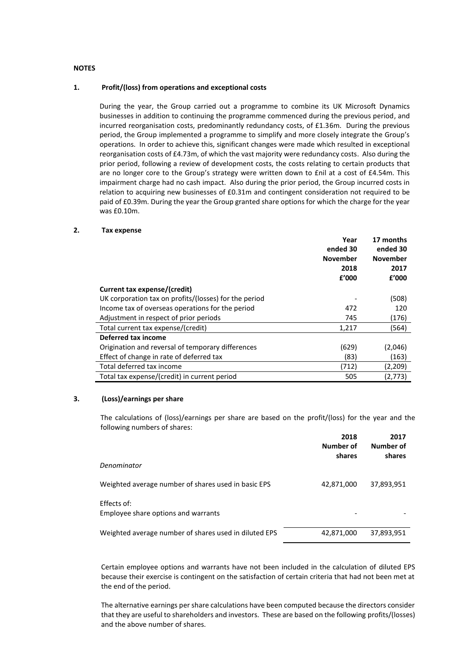# **NOTES**

## **1. Profit/(loss) from operations and exceptional costs**

During the year, the Group carried out a programme to combine its UK Microsoft Dynamics businesses in addition to continuing the programme commenced during the previous period, and incurred reorganisation costs, predominantly redundancy costs, of £1.36m. During the previous period, the Group implemented a programme to simplify and more closely integrate the Group's operations. In order to achieve this, significant changes were made which resulted in exceptional reorganisation costs of £4.73m, of which the vast majority were redundancy costs. Also during the prior period, following a review of development costs, the costs relating to certain products that are no longer core to the Group's strategy were written down to fill at a cost of f4.54m. This impairment charge had no cash impact. Also during the prior period, the Group incurred costs in relation to acquiring new businesses of £0.31m and contingent consideration not required to be paid of £0.39m. During the year the Group granted share options for which the charge for the year was £0.10m.

# **2. Tax expense**

|                                                       | Year            | 17 months       |
|-------------------------------------------------------|-----------------|-----------------|
|                                                       | ended 30        | ended 30        |
|                                                       | <b>November</b> | <b>November</b> |
|                                                       | 2018            | 2017            |
|                                                       | f'000           | £'000           |
| Current tax expense/(credit)                          |                 |                 |
| UK corporation tax on profits/(losses) for the period |                 | (508)           |
| Income tax of overseas operations for the period      | 472             | 120             |
| Adjustment in respect of prior periods                | 745             | (176)           |
| Total current tax expense/(credit)                    | 1,217           | (564)           |
| Deferred tax income                                   |                 |                 |
| Origination and reversal of temporary differences     | (629)           | (2,046)         |
| Effect of change in rate of deferred tax              | (83)            | (163)           |
| Total deferred tax income                             | (712)           | (2,209)         |
| Total tax expense/(credit) in current period          | 505             | (2,773)         |

# **3. (Loss)/earnings per share**

The calculations of (loss)/earnings per share are based on the profit/(loss) for the year and the following numbers of shares:

|                                                       | 2018<br>Number of<br>shares | 2017<br>Number of<br>shares |
|-------------------------------------------------------|-----------------------------|-----------------------------|
| Denominator                                           |                             |                             |
| Weighted average number of shares used in basic EPS   | 42,871,000                  | 37,893,951                  |
| Effects of:<br>Employee share options and warrants    |                             |                             |
| Weighted average number of shares used in diluted EPS | 42,871,000                  | 37,893,951                  |

Certain employee options and warrants have not been included in the calculation of diluted EPS because their exercise is contingent on the satisfaction of certain criteria that had not been met at the end of the period.

The alternative earnings per share calculations have been computed because the directors consider that they are useful to shareholders and investors. These are based on the following profits/(losses) and the above number of shares.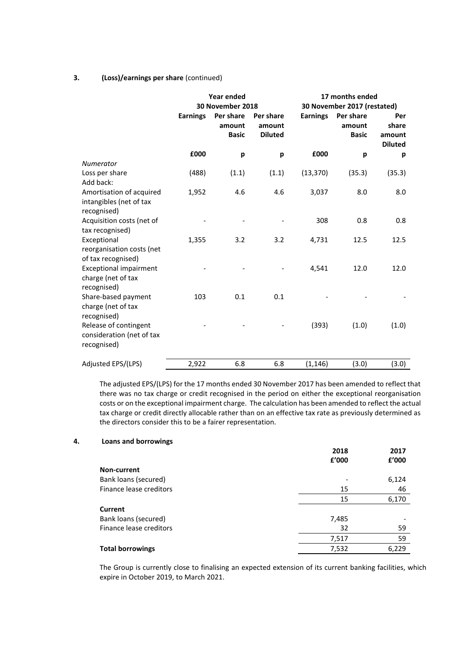# **3. (Loss)/earnings per share** (continued)

|                                                                    | <b>Year ended</b><br>30 November 2018 |                                     |                                       | 17 months ended<br>30 November 2017 (restated) |                                     |                                          |
|--------------------------------------------------------------------|---------------------------------------|-------------------------------------|---------------------------------------|------------------------------------------------|-------------------------------------|------------------------------------------|
|                                                                    | <b>Earnings</b>                       | Per share<br>amount<br><b>Basic</b> | Per share<br>amount<br><b>Diluted</b> | <b>Earnings</b>                                | Per share<br>amount<br><b>Basic</b> | Per<br>share<br>amount<br><b>Diluted</b> |
|                                                                    | £000                                  | p                                   | р                                     | £000                                           | p                                   | р                                        |
| Numerator                                                          |                                       |                                     |                                       |                                                |                                     |                                          |
| Loss per share                                                     | (488)                                 | (1.1)                               | (1.1)                                 | (13, 370)                                      | (35.3)                              | (35.3)                                   |
| Add back:                                                          |                                       |                                     |                                       |                                                |                                     |                                          |
| Amortisation of acquired<br>intangibles (net of tax<br>recognised) | 1,952                                 | 4.6                                 | 4.6                                   | 3,037                                          | 8.0                                 | 8.0                                      |
| Acquisition costs (net of                                          |                                       |                                     |                                       | 308                                            | 0.8                                 | 0.8                                      |
| tax recognised)                                                    |                                       |                                     |                                       |                                                |                                     |                                          |
| Exceptional                                                        | 1,355                                 | 3.2                                 | 3.2                                   | 4,731                                          | 12.5                                | 12.5                                     |
| reorganisation costs (net<br>of tax recognised)                    |                                       |                                     |                                       |                                                |                                     |                                          |
| <b>Exceptional impairment</b><br>charge (net of tax<br>recognised) |                                       |                                     |                                       | 4,541                                          | 12.0                                | 12.0                                     |
| Share-based payment<br>charge (net of tax<br>recognised)           | 103                                   | 0.1                                 | 0.1                                   |                                                |                                     |                                          |
| Release of contingent<br>consideration (net of tax<br>recognised)  |                                       |                                     |                                       | (393)                                          | (1.0)                               | (1.0)                                    |
| Adjusted EPS/(LPS)                                                 | 2,922                                 | 6.8                                 | 6.8                                   | (1, 146)                                       | (3.0)                               | (3.0)                                    |

The adjusted EPS/(LPS) for the 17 months ended 30 November 2017 has been amended to reflect that there was no tax charge or credit recognised in the period on either the exceptional reorganisation costs or on the exceptional impairment charge. The calculation has been amended to reflect the actual tax charge or credit directly allocable rather than on an effective tax rate as previously determined as the directors consider this to be a fairer representation.

# **4. Loans and borrowings**

| 2018<br>£'000 | 2017<br>£'000 |
|---------------|---------------|
|               |               |
|               | 6,124         |
| 15            | 46            |
| 15            | 6,170         |
|               |               |
| 7,485         |               |
| 32            | 59            |
| 7,517         | 59            |
| 7,532         | 6,229         |
|               |               |

The Group is currently close to finalising an expected extension of its current banking facilities, which expire in October 2019, to March 2021.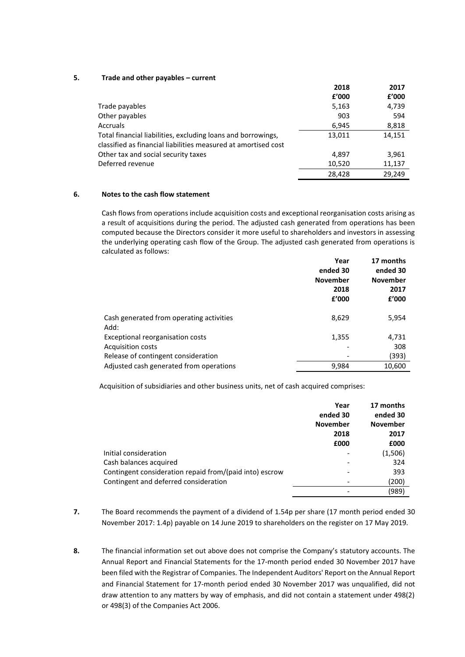# **5. Trade and other payables – current**

|                                                                                                                                | 2018   | 2017   |
|--------------------------------------------------------------------------------------------------------------------------------|--------|--------|
|                                                                                                                                | £'000  | £'000  |
| Trade payables                                                                                                                 | 5,163  | 4,739  |
| Other payables                                                                                                                 | 903    | 594    |
| <b>Accruals</b>                                                                                                                | 6,945  | 8,818  |
| Total financial liabilities, excluding loans and borrowings,<br>classified as financial liabilities measured at amortised cost | 13,011 | 14,151 |
|                                                                                                                                |        |        |
| Other tax and social security taxes                                                                                            | 4,897  | 3,961  |
| Deferred revenue                                                                                                               | 10,520 | 11,137 |
|                                                                                                                                | 28.428 | 29.249 |

# **6. Notes to the cash flow statement**

Cash flows from operations include acquisition costs and exceptional reorganisation costs arising as a result of acquisitions during the period. The adjusted cash generated from operations has been computed because the Directors consider it more useful to shareholders and investors in assessing the underlying operating cash flow of the Group. The adjusted cash generated from operations is calculated as follows:

|                                                  | Year<br>ended 30<br><b>November</b><br>2018<br>£'000 | 17 months<br>ended 30<br><b>November</b><br>2017<br>f'000 |
|--------------------------------------------------|------------------------------------------------------|-----------------------------------------------------------|
| Cash generated from operating activities<br>Add: | 8,629                                                | 5,954                                                     |
| Exceptional reorganisation costs                 | 1,355                                                | 4,731                                                     |
| <b>Acquisition costs</b>                         |                                                      | 308                                                       |
| Release of contingent consideration              |                                                      | (393)                                                     |
| Adjusted cash generated from operations          | 9,984                                                | 10,600                                                    |

Acquisition of subsidiaries and other business units, net of cash acquired comprises:

|                                                         | Year<br>ended 30 | 17 months<br>ended 30 |
|---------------------------------------------------------|------------------|-----------------------|
|                                                         | <b>November</b>  | <b>November</b>       |
|                                                         | 2018             | 2017                  |
|                                                         | £000             | £000                  |
| Initial consideration                                   |                  | (1,506)               |
| Cash balances acquired                                  |                  | 324                   |
| Contingent consideration repaid from/(paid into) escrow |                  | 393                   |
| Contingent and deferred consideration                   |                  | (200)                 |
|                                                         |                  | (989)                 |

- **7.** The Board recommends the payment of a dividend of 1.54p per share (17 month period ended 30 November 2017: 1.4p) payable on 14 June 2019 to shareholders on the register on 17 May 2019.
- **8.** The financial information set out above does not comprise the Company's statutory accounts. The Annual Report and Financial Statements for the 17-month period ended 30 November 2017 have been filed with the Registrar of Companies. The Independent Auditors' Report on the Annual Report and Financial Statement for 17-month period ended 30 November 2017 was unqualified, did not draw attention to any matters by way of emphasis, and did not contain a statement under 498(2) or 498(3) of the Companies Act 2006.